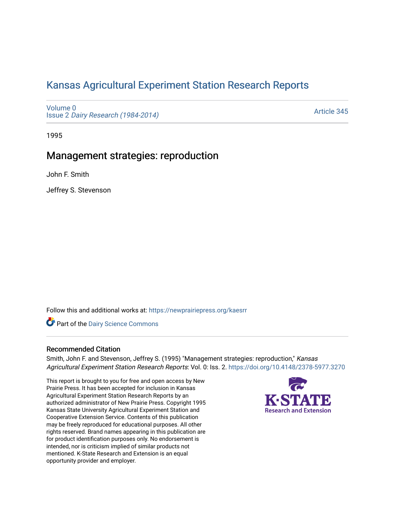# [Kansas Agricultural Experiment Station Research Reports](https://newprairiepress.org/kaesrr)

[Volume 0](https://newprairiepress.org/kaesrr/vol0) Issue 2 [Dairy Research \(1984-2014\)](https://newprairiepress.org/kaesrr/vol0/iss2) 

[Article 345](https://newprairiepress.org/kaesrr/vol0/iss2/345) 

1995

## Management strategies: reproduction

John F. Smith

Jeffrey S. Stevenson

Follow this and additional works at: [https://newprairiepress.org/kaesrr](https://newprairiepress.org/kaesrr?utm_source=newprairiepress.org%2Fkaesrr%2Fvol0%2Fiss2%2F345&utm_medium=PDF&utm_campaign=PDFCoverPages) 

Part of the [Dairy Science Commons](http://network.bepress.com/hgg/discipline/79?utm_source=newprairiepress.org%2Fkaesrr%2Fvol0%2Fiss2%2F345&utm_medium=PDF&utm_campaign=PDFCoverPages) 

### Recommended Citation

Smith, John F. and Stevenson, Jeffrey S. (1995) "Management strategies: reproduction," Kansas Agricultural Experiment Station Research Reports: Vol. 0: Iss. 2.<https://doi.org/10.4148/2378-5977.3270>

This report is brought to you for free and open access by New Prairie Press. It has been accepted for inclusion in Kansas Agricultural Experiment Station Research Reports by an authorized administrator of New Prairie Press. Copyright 1995 Kansas State University Agricultural Experiment Station and Cooperative Extension Service. Contents of this publication may be freely reproduced for educational purposes. All other rights reserved. Brand names appearing in this publication are for product identification purposes only. No endorsement is intended, nor is criticism implied of similar products not mentioned. K-State Research and Extension is an equal opportunity provider and employer.

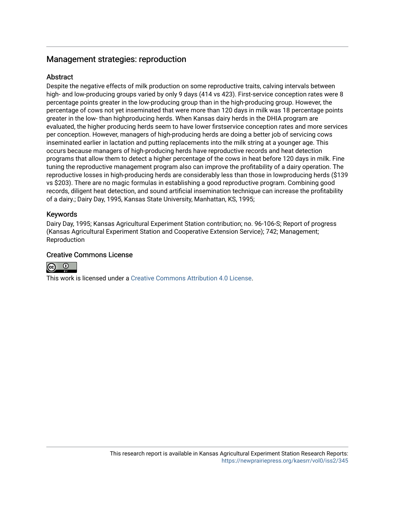## Management strategies: reproduction

## Abstract

Despite the negative effects of milk production on some reproductive traits, calving intervals between high- and low-producing groups varied by only 9 days (414 vs 423). First-service conception rates were 8 percentage points greater in the low-producing group than in the high-producing group. However, the percentage of cows not yet inseminated that were more than 120 days in milk was 18 percentage points greater in the low- than highproducing herds. When Kansas dairy herds in the DHIA program are evaluated, the higher producing herds seem to have lower firstservice conception rates and more services per conception. However, managers of high-producing herds are doing a better job of servicing cows inseminated earlier in lactation and putting replacements into the milk string at a younger age. This occurs because managers of high-producing herds have reproductive records and heat detection programs that allow them to detect a higher percentage of the cows in heat before 120 days in milk. Fine tuning the reproductive management program also can improve the profitability of a dairy operation. The reproductive losses in high-producing herds are considerably less than those in lowproducing herds (\$139 vs \$203). There are no magic formulas in establishing a good reproductive program. Combining good records, diligent heat detection, and sound artificial insemination technique can increase the profitability of a dairy.; Dairy Day, 1995, Kansas State University, Manhattan, KS, 1995;

## Keywords

Dairy Day, 1995; Kansas Agricultural Experiment Station contribution; no. 96-106-S; Report of progress (Kansas Agricultural Experiment Station and Cooperative Extension Service); 742; Management; Reproduction

## Creative Commons License



This work is licensed under a [Creative Commons Attribution 4.0 License](https://creativecommons.org/licenses/by/4.0/).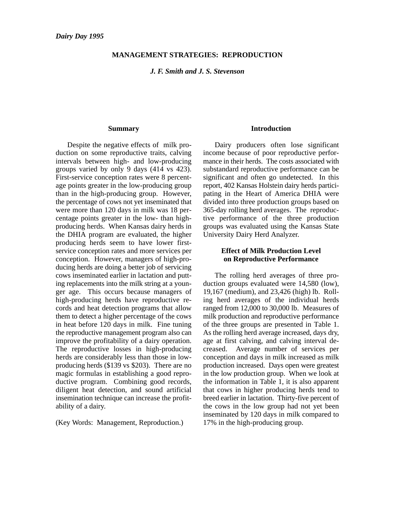#### **MANAGEMENT STRATEGIES: REPRODUCTION**

*J. F. Smith and J. S. Stevenson*

#### **Summary**

Despite the negative effects of milk production on some reproductive traits, calving intervals between high- and low-producing groups varied by only 9 days (414 vs 423). First-service conception rates were 8 percentage points greater in the low-producing group than in the high-producing group. However, the percentage of cows not yet inseminated that were more than 120 days in milk was 18 percentage points greater in the low- than highproducing herds. When Kansas dairy herds in the DHIA program are evaluated, the higher producing herds seem to have lower firstservice conception rates and more services per conception. However, managers of high-producing herds are doing a better job of servicing cows inseminated earlier in lactation and putting replacements into the milk string at a younger age. This occurs because managers of high-producing herds have reproductive records and heat detection programs that allow them to detect a higher percentage of the cows in heat before 120 days in milk. Fine tuning the reproductive management program also can improve the profitability of a dairy operation. The reproductive losses in high-producing herds are considerably less than those in lowproducing herds (\$139 vs \$203). There are no magic formulas in establishing a good reproductive program. Combining good records, diligent heat detection, and sound artificial insemination technique can increase the profitability of a dairy.

(Key Words: Management, Reproduction.)

#### **Introduction**

Dairy producers often lose significant income because of poor reproductive performance in their herds. The costs associated with substandard reproductive performance can be significant and often go undetected. In this report, 402 Kansas Holstein dairy herds participating in the Heart of America DHIA were divided into three production groups based on 365-day rolling herd averages. The reproductive performance of the three production groups was evaluated using the Kansas State University Dairy Herd Analyzer.

#### **Effect of Milk Production Level on Reproductive Performance**

The rolling herd averages of three production groups evaluated were 14,580 (low), 19,167 (medium), and 23,426 (high) lb. Rolling herd averages of the individual herds ranged from 12,000 to 30,000 lb. Measures of milk production and reproductive performance of the three groups are presented in Table 1. As the rolling herd average increased, days dry, age at first calving, and calving interval decreased. Average number of services per conception and days in milk increased as milk production increased. Days open were greatest in the low production group. When we look at the information in Table 1, it is also apparent that cows in higher producing herds tend to breed earlier in lactation. Thirty-five percent of the cows in the low group had not yet been inseminated by 120 days in milk compared to 17% in the high-producing group.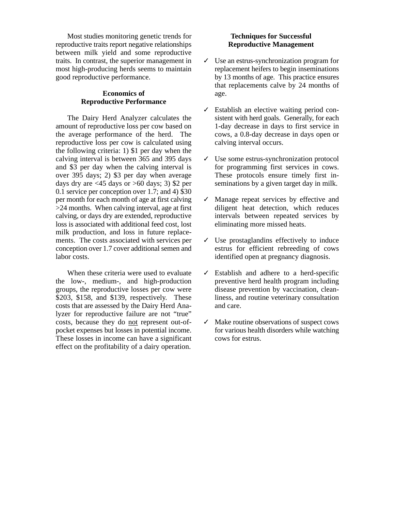Most studies monitoring genetic trends for reproductive traits report negative relationships between milk yield and some reproductive traits. In contrast, the superior management in most high-producing herds seems to maintain good reproductive performance.

#### **Economics of Reproductive Performance**

The Dairy Herd Analyzer calculates the amount of reproductive loss per cow based on the average performance of the herd. The reproductive loss per cow is calculated using the following criteria: 1) \$1 per day when the calving interval is between 365 and 395 days and \$3 per day when the calving interval is over 395 days; 2) \$3 per day when average days dry are  $\langle 45 \rangle$  days or  $>60$  days; 3) \$2 per 0.1 service per conception over 1.7; and 4) \$30 per month for each month of age at first calving >24 months. When calving interval, age at first calving, or days dry are extended, reproductive loss is associated with additional feed cost, lost milk production, and loss in future replacements. The costs associated with services per conception over 1.7 cover additional semen and labor costs.

When these criteria were used to evaluate the low-, medium-, and high-production groups, the reproductive losses per cow were \$203, \$158, and \$139, respectively. These costs that are assessed by the Dairy Herd Analyzer for reproductive failure are not "true" costs, because they do not represent out-ofpocket expenses but losses in potential income. These losses in income can have a significant effect on the profitability of a dairy operation.

## **Techniques for Successful Reproductive Management**

- $\checkmark$  Use an estrus-synchronization program for replacement heifers to begin inseminations by 13 months of age. This practice ensures that replacements calve by 24 months of age.
- ✓ Establish an elective waiting period consistent with herd goals. Generally, for each 1-day decrease in days to first service in cows, a 0.8-day decrease in days open or calving interval occurs.
- ✓ Use some estrus-synchronization protocol for programming first services in cows. These protocols ensure timely first inseminations by a given target day in milk.
- ✓ Manage repeat services by effective and diligent heat detection, which reduces intervals between repeated services by eliminating more missed heats.
- $\checkmark$  Use prostaglandins effectively to induce estrus for efficient rebreeding of cows identified open at pregnancy diagnosis.
- ✓ Establish and adhere to a herd-specific preventive herd health program including disease prevention by vaccination, cleanliness, and routine veterinary consultation and care.
- ✓ Make routine observations of suspect cows for various health disorders while watching cows for estrus.